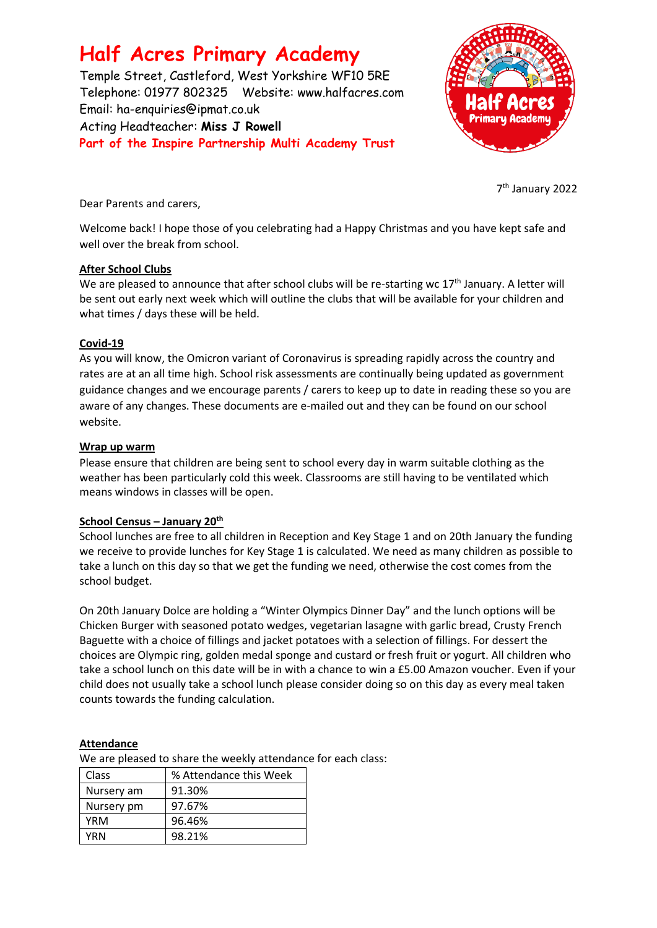# **Half Acres Primary Academy**

Temple Street, Castleford, West Yorkshire WF10 5RE Telephone: 01977 802325 Website: [www.halfacres.com](http://www.halfacres.com/) Email: ha-enquiries@ipmat.co.uk Acting Headteacher: **Miss J Rowell Part of the Inspire Partnership Multi Academy Trust**



7 th January 2022

Dear Parents and carers,

Welcome back! I hope those of you celebrating had a Happy Christmas and you have kept safe and well over the break from school.

#### **After School Clubs**

We are pleased to announce that after school clubs will be re-starting wc 17<sup>th</sup> January. A letter will be sent out early next week which will outline the clubs that will be available for your children and what times / days these will be held.

#### **Covid-19**

As you will know, the Omicron variant of Coronavirus is spreading rapidly across the country and rates are at an all time high. School risk assessments are continually being updated as government guidance changes and we encourage parents / carers to keep up to date in reading these so you are aware of any changes. These documents are e-mailed out and they can be found on our school website.

#### **Wrap up warm**

Please ensure that children are being sent to school every day in warm suitable clothing as the weather has been particularly cold this week. Classrooms are still having to be ventilated which means windows in classes will be open.

## **School Census – January 20th**

School lunches are free to all children in Reception and Key Stage 1 and on 20th January the funding we receive to provide lunches for Key Stage 1 is calculated. We need as many children as possible to take a lunch on this day so that we get the funding we need, otherwise the cost comes from the school budget.

On 20th January Dolce are holding a "Winter Olympics Dinner Day" and the lunch options will be Chicken Burger with seasoned potato wedges, vegetarian lasagne with garlic bread, Crusty French Baguette with a choice of fillings and jacket potatoes with a selection of fillings. For dessert the choices are Olympic ring, golden medal sponge and custard or fresh fruit or yogurt. All children who take a school lunch on this date will be in with a chance to win a £5.00 Amazon voucher. Even if your child does not usually take a school lunch please consider doing so on this day as every meal taken counts towards the funding calculation.

## **Attendance**

We are pleased to share the weekly attendance for each class:

| <b>Class</b> | % Attendance this Week |
|--------------|------------------------|
| Nursery am   | 91.30%                 |
| Nursery pm   | 97.67%                 |
| YRM          | 96.46%                 |
| YRN          | 98.21%                 |